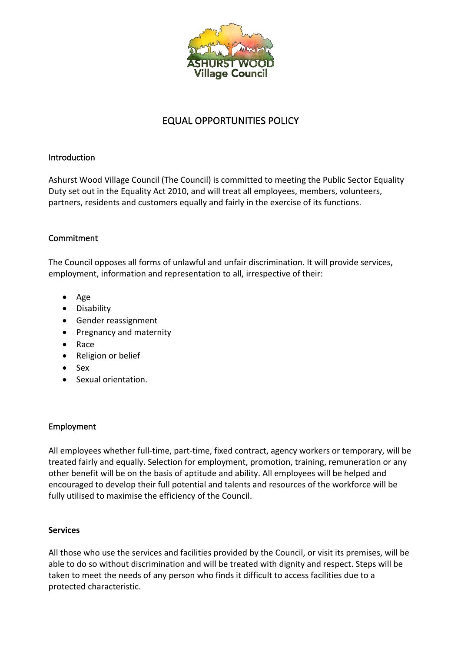

# EQUAL OPPORTUNITIES POLICY

### Introduction

Ashurst Wood Village Council (The Council) is committed to meeting the Public Sector Equality Duty set out in the Equality Act 2010, and will treat all employees, members, volunteers, partners, residents and customers equally and fairly in the exercise of its functions.

### **Commitment**

The Council opposes all forms of unlawful and unfair discrimination. It will provide services, employment, information and representation to all, irrespective of their:

- Age
- Disability
- Gender reassignment
- Pregnancy and maternity
- Race
- Religion or belief
- Sex
- Sexual orientation.

## Employment

All employees whether full-time, part-time, fixed contract, agency workers or temporary, will be treated fairly and equally. Selection for employment, promotion, training, remuneration or any other benefit will be on the basis of aptitude and ability. All employees will be helped and encouraged to develop their full potential and talents and resources of the workforce will be fully utilised to maximise the efficiency of the Council.

### **Services**

All those who use the services and facilities provided by the Council, or visit its premises, will be able to do so without discrimination and will be treated with dignity and respect. Steps will be taken to meet the needs of any person who finds it difficult to access facilities due to a protected characteristic.